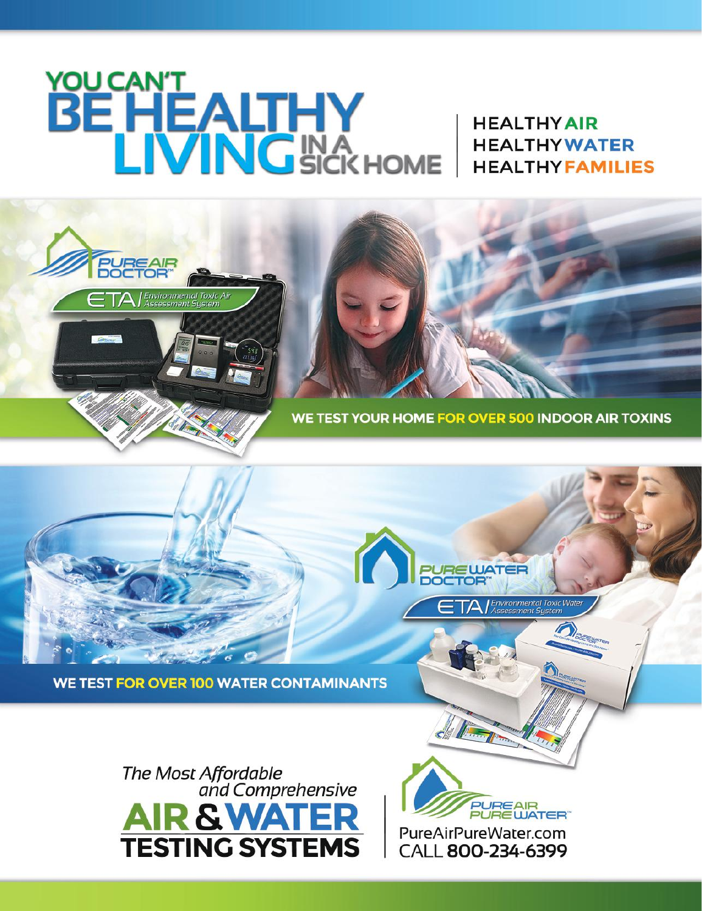## YOUCAN'T<br>BE HEALTHY

**PUREAIR** 

.<br>Environmental Tox<mark>i</mark>c Air<br>Assessment Sustem

**HEALTHY AIR HEALTHYWATER HEALTHYFAMILIES** 



**PURE WATER** 

Environmental Toxic Water<br>Assessment System

**WE TEST FOR OVER 100 WATER CONTAMINANTS** 



**JREAIR**<br>JREWATER" PureAirPureWater.com CALL 800-234-6399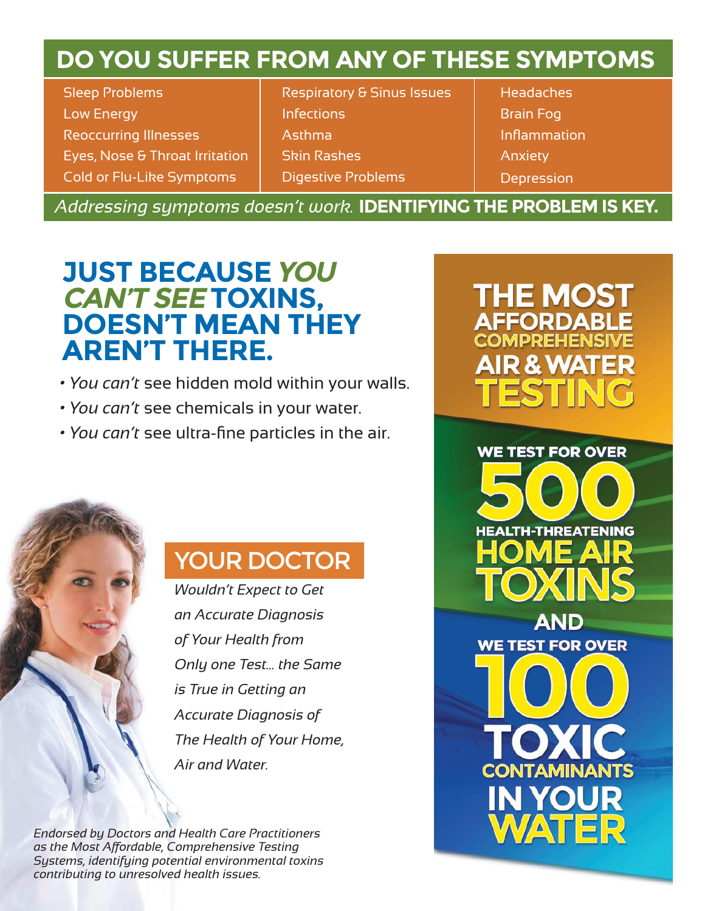## **DO YOU SUFFER FROM ANY OF THESE SYMPTOMS**

Sleep Problems Low Energy Reoccurring Illnesses Eyes, Nose & Throat Irritation Cold or Flu-Like Symptoms

Respiratory & Sinus Issues Infections Asthma Skin Rashes Digestive Problems

**Headaches** Brain Fog Inflammation **Anxiety Depression** 

*Addressing symptoms doesn't work.* **IDENTIFYING THE PROBLEM IS KEY.**

## **JUST BECAUSE YOU CAN'T SEE TOXINS, DOESN'T MEAN THEY AREN'T THERE.**

- *You can't* see hidden mold within your walls.
- *You can't* see chemicals in your water.
- *You can't* see ultra-fine particles in the air.

### YOUR DOCTOR

*Wouldn't Expect to Get an Accurate Diagnosis of Your Health from Only one Test... the Same is True in Getting an Accurate Diagnosis of The Health of Your Home, Air and Water.*

*Endorsed by Doctors and Health Care Practitioners as the Most Affordable, Comprehensive Testing Systems, identifying potential environmental toxins contributing to unresolved health issues.*

# THE MOS

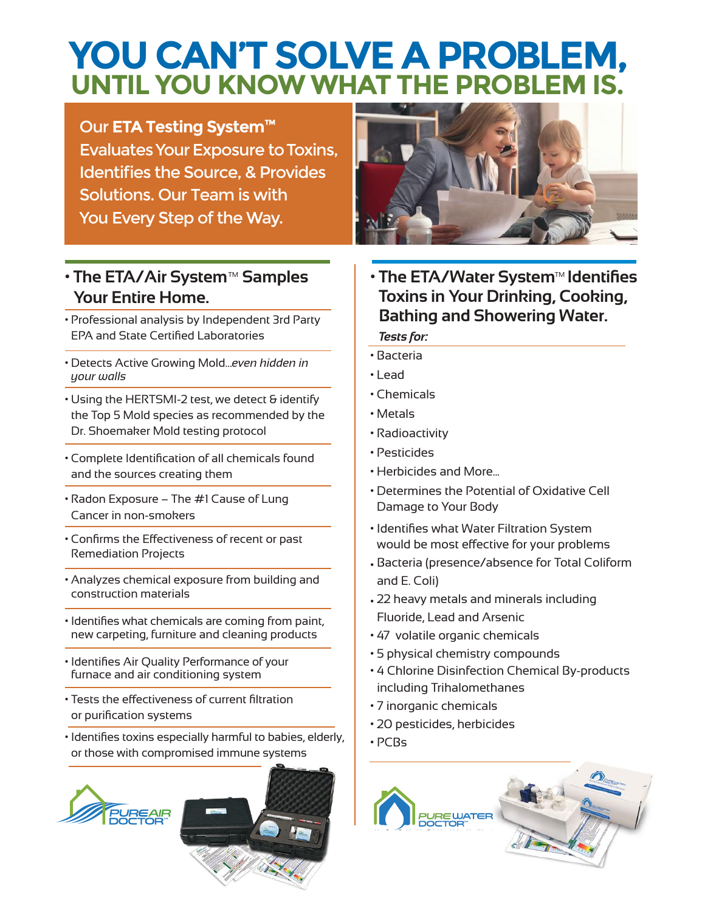## **YOU CAN'T SOLVE A PROBLEM, UNTIL YOU KNOW WHAT THE PROBLEM IS.**

#### Our **ETA Testing System™**

Evaluates Your Exposure to Toxins, Identifies the Source, & Provides Solutions. Our Team is with You Every Step of the Way.

#### **• The ETA/Air System™ Samples Your Entire Home.**

- Professional analysis by Independent 3rd Party EPA and State Certified Laboratories
- Detects Active Growing Mold…*even hidden in your walls*
- Using the HERTSMI-2 test, we detect & identify the Top 5 Mold species as recommended by the Dr. Shoemaker Mold testing protocol
- Complete Identification of all chemicals found and the sources creating them
- Radon Exposure The #1 Cause of Lung Cancer in non-smokers
- Confirms the Effectiveness of recent or past Remediation Projects
- Analyzes chemical exposure from building and construction materials
- Identifies what chemicals are coming from paint, new carpeting, furniture and cleaning products
- Identifies Air Quality Performance of your furnace and air conditioning system
- Tests the effectiveness of current filtration or purification systems
- Identifies toxins especially harmful to babies, elderly, or those with compromised immune systems





**• The ETA/Water System™ Identifies Toxins in Your Drinking, Cooking, Bathing and Showering Water.**

#### *Tests for:*

- Bacteria
- Lead
- Chemicals
- Metals
- Radioactivity
- Pesticides
- Herbicides and More...
- Determines the Potential of Oxidative Cell Damage to Your Body
- Identifies what Water Filtration System would be most effective for your problems
- Bacteria (presence/absence for Total Coliform and E. Coli)
- 22 heavy metals and minerals including Fluoride, Lead and Arsenic
- 47 volatile organic chemicals
- 5 physical chemistry compounds
- 4 Chlorine Disinfection Chemical By-products including Trihalomethanes
- 7 inorganic chemicals
- 20 pesticides, herbicides
- PCBs